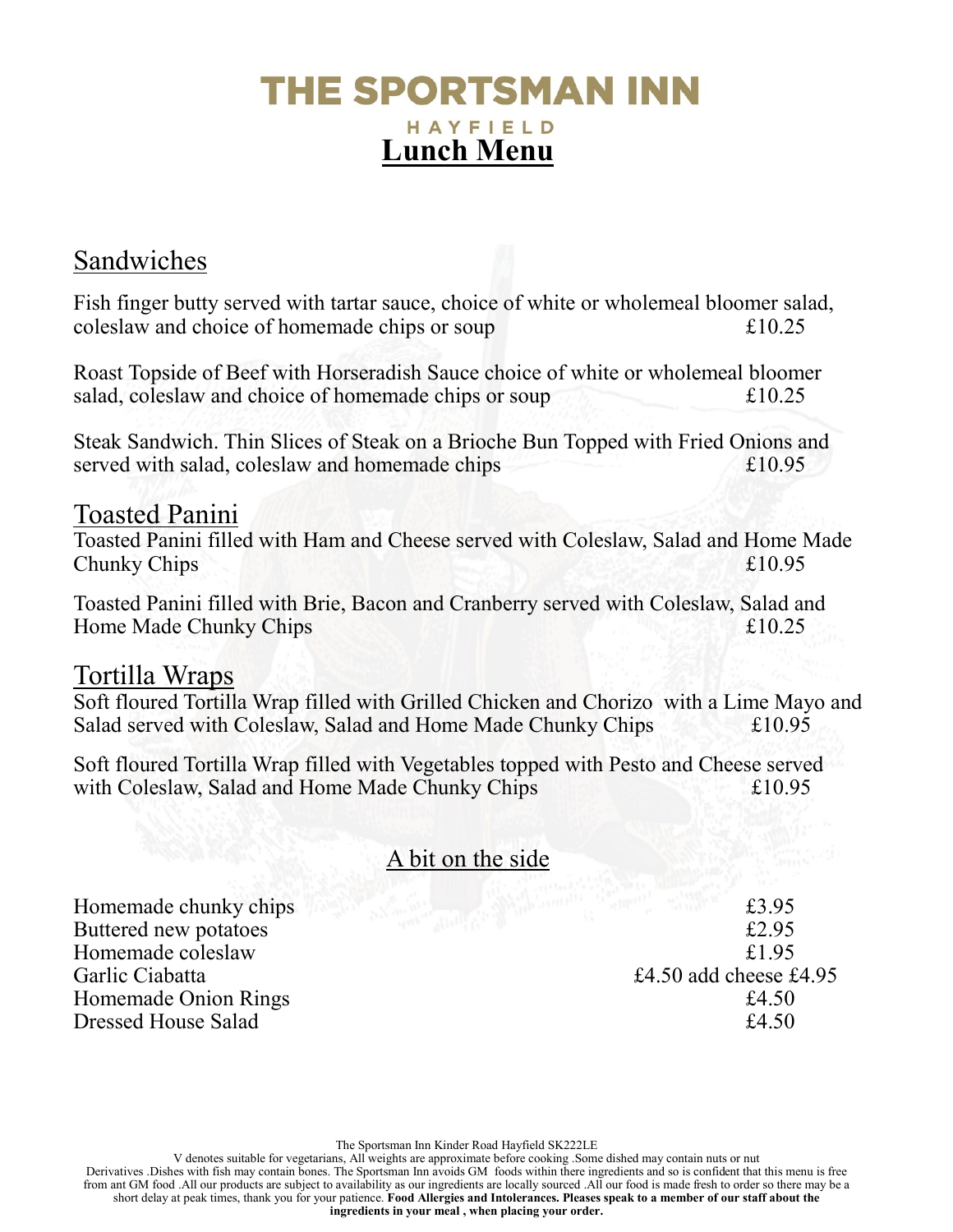# The Sportsman Inner HAYFIELD Lunch Menu

### Sandwiches

Fish finger butty served with tartar sauce, choice of white or wholemeal bloomer salad, coleslaw and choice of homemade chips or soup £10.25

Roast Topside of Beef with Horseradish Sauce choice of white or wholemeal bloomer salad, coleslaw and choice of homemade chips or soup  $£10.25$ 

Steak Sandwich. Thin Slices of Steak on a Brioche Bun Topped with Fried Onions and served with salad, coleslaw and homemade chips  $£10.95$ 

#### Toasted Panini

Toasted Panini filled with Ham and Cheese served with Coleslaw, Salad and Home Made Chunky Chips  $\text{E}10.95$ 

Toasted Panini filled with Brie, Bacon and Cranberry served with Coleslaw, Salad and Home Made Chunky Chips  $£10.25$ 

#### Tortilla Wraps

Soft floured Tortilla Wrap filled with Grilled Chicken and Chorizo with a Lime Mayo and Salad served with Coleslaw, Salad and Home Made Chunky Chips  $£10.95$ 

Soft floured Tortilla Wrap filled with Vegetables topped with Pesto and Cheese served with Coleslaw, Salad and Home Made Chunky Chips  $£10.95$ 

#### A bit on the side

Homemade chunky chips  $\frac{1}{3}$ .95 Buttered new potatoes  $£2.95$ Homemade coleslaw £1.95 Garlic Ciabatta **E4.50** add cheese £4.95 Homemade Onion Rings  $£4.50$ Dressed House Salad  $£4.50$ 

The Sportsman Inn Kinder Road Hayfield SK222LE

V denotes suitable for vegetarians, All weights are approximate before cooking .Some dished may contain nuts or nut Derivatives .Dishes with fish may contain bones. The Sportsman Inn avoids GM foods within there ingredients and so is confident that this menu is free from ant GM food .All our products are subject to availability as our ingredients are locally sourced .All our food is made fresh to order so there may be a short delay at peak times, thank you for your patience. Food Allergies and Intolerances. Pleases speak to a member of our staff about the ingredients in your meal , when placing your order.